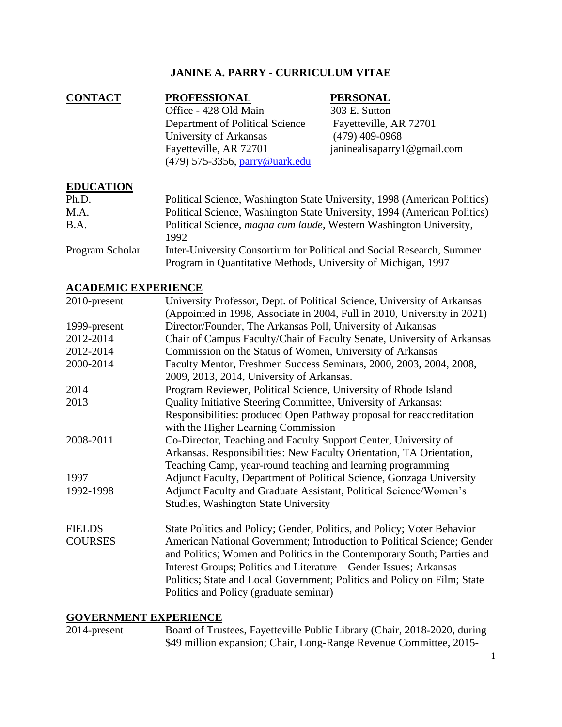# **JANINE A. PARRY - CURRICULUM VITAE**

| <b>CONTACT</b> | <b>PROFESSIONAL</b>                                      | <b>PERSONAL</b>                |
|----------------|----------------------------------------------------------|--------------------------------|
|                | Office - 428 Old Main                                    | 303 E. Sutton                  |
|                | Department of Political Science                          | Fayetteville, AR 72701         |
|                | University of Arkansas                                   | $(479)$ 409-0968               |
|                | Fayetteville, AR 72701<br>(479) 575-3356, parry@uark.edu | janinealisaparry 1 @ gmail.com |

### **EDUCATION**

| Ph.D.           | Political Science, Washington State University, 1998 (American Politics)                                                               |
|-----------------|----------------------------------------------------------------------------------------------------------------------------------------|
| M.A.            | Political Science, Washington State University, 1994 (American Politics)                                                               |
| <b>B.A.</b>     | Political Science, magna cum laude, Western Washington University,<br>1992.                                                            |
| Program Scholar | Inter-University Consortium for Political and Social Research, Summer<br>Program in Quantitative Methods, University of Michigan, 1997 |

### **ACADEMIC EXPERIENCE**

| 2010-present   | University Professor, Dept. of Political Science, University of Arkansas |  |
|----------------|--------------------------------------------------------------------------|--|
|                | (Appointed in 1998, Associate in 2004, Full in 2010, University in 2021) |  |
| 1999-present   | Director/Founder, The Arkansas Poll, University of Arkansas              |  |
| 2012-2014      | Chair of Campus Faculty/Chair of Faculty Senate, University of Arkansas  |  |
| 2012-2014      | Commission on the Status of Women, University of Arkansas                |  |
| 2000-2014      | Faculty Mentor, Freshmen Success Seminars, 2000, 2003, 2004, 2008,       |  |
|                | 2009, 2013, 2014, University of Arkansas.                                |  |
| 2014           | Program Reviewer, Political Science, University of Rhode Island          |  |
| 2013           | Quality Initiative Steering Committee, University of Arkansas:           |  |
|                | Responsibilities: produced Open Pathway proposal for reaccreditation     |  |
|                | with the Higher Learning Commission                                      |  |
| 2008-2011      | Co-Director, Teaching and Faculty Support Center, University of          |  |
|                | Arkansas. Responsibilities: New Faculty Orientation, TA Orientation,     |  |
|                | Teaching Camp, year-round teaching and learning programming              |  |
| 1997           | Adjunct Faculty, Department of Political Science, Gonzaga University     |  |
| 1992-1998      | Adjunct Faculty and Graduate Assistant, Political Science/Women's        |  |
|                | <b>Studies, Washington State University</b>                              |  |
| <b>FIELDS</b>  | State Politics and Policy; Gender, Politics, and Policy; Voter Behavior  |  |
| <b>COURSES</b> | American National Government; Introduction to Political Science; Gender  |  |
|                | and Politics; Women and Politics in the Contemporary South; Parties and  |  |
|                | Interest Groups; Politics and Literature – Gender Issues; Arkansas       |  |
|                | Politics; State and Local Government; Politics and Policy on Film; State |  |
|                |                                                                          |  |
|                | Politics and Policy (graduate seminar)                                   |  |

# **GOVERNMENT EXPERIENCE**

| 2014-present | Board of Trustees, Fayetteville Public Library (Chair, 2018-2020, during |
|--------------|--------------------------------------------------------------------------|
|              | \$49 million expansion; Chair, Long-Range Revenue Committee, 2015-       |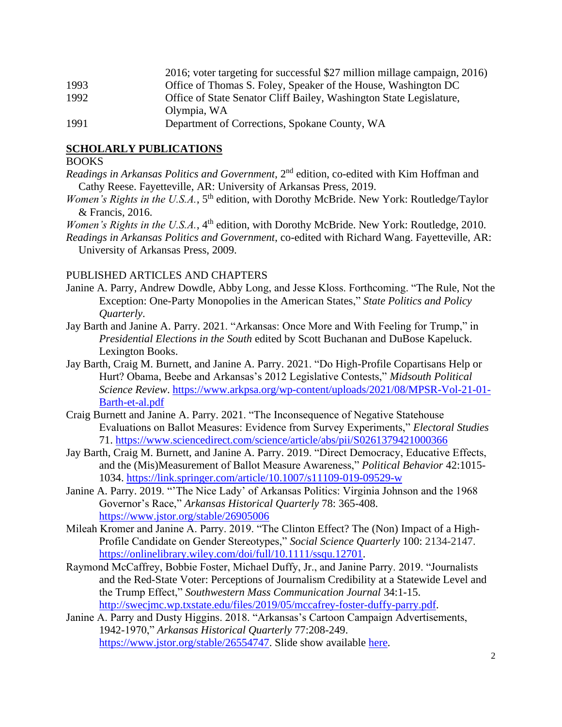|      | 2016; voter targeting for successful \$27 million millage campaign, 2016) |
|------|---------------------------------------------------------------------------|
| 1993 | Office of Thomas S. Foley, Speaker of the House, Washington DC            |
| 1992 | Office of State Senator Cliff Bailey, Washington State Legislature,       |
|      | Olympia, WA                                                               |
| 1991 | Department of Corrections, Spokane County, WA                             |

#### **SCHOLARLY PUBLICATIONS**

#### BOOKS

*Readings in Arkansas Politics and Government*, 2nd edition, co-edited with Kim Hoffman and Cathy Reese. Fayetteville, AR: University of Arkansas Press, 2019.

- *Women's Rights in the U.S.A.*, 5<sup>th</sup> edition, with Dorothy McBride. New York: Routledge/Taylor & Francis, 2016.
- *Women's Rights in the U.S.A.*, 4<sup>th</sup> edition, with Dorothy McBride. New York: Routledge, 2010.
- *Readings in Arkansas Politics and Government*, co-edited with Richard Wang. Fayetteville, AR: University of Arkansas Press, 2009.

#### PUBLISHED ARTICLES AND CHAPTERS

- Janine A. Parry, Andrew Dowdle, Abby Long, and Jesse Kloss. Forthcoming. "The Rule, Not the Exception: One-Party Monopolies in the American States," *State Politics and Policy Quarterly*.
- Jay Barth and Janine A. Parry. 2021. "Arkansas: Once More and With Feeling for Trump," in *Presidential Elections in the South* edited by Scott Buchanan and DuBose Kapeluck. Lexington Books.
- Jay Barth, Craig M. Burnett, and Janine A. Parry. 2021. "Do High-Profile Copartisans Help or Hurt? Obama, Beebe and Arkansas's 2012 Legislative Contests," *Midsouth Political Science Review*. [https://www.arkpsa.org/wp-content/uploads/2021/08/MPSR-Vol-21-01-](https://www.arkpsa.org/wp-content/uploads/2021/08/MPSR-Vol-21-01-Barth-et-al.pdf) [Barth-et-al.pdf](https://www.arkpsa.org/wp-content/uploads/2021/08/MPSR-Vol-21-01-Barth-et-al.pdf)
- Craig Burnett and Janine A. Parry. 2021. "The Inconsequence of Negative Statehouse Evaluations on Ballot Measures: Evidence from Survey Experiments," *Electoral Studies* 71.<https://www.sciencedirect.com/science/article/abs/pii/S0261379421000366>
- Jay Barth, Craig M. Burnett, and Janine A. Parry. 2019. "Direct Democracy, Educative Effects, and the (Mis)Measurement of Ballot Measure Awareness," *Political Behavior* 42:1015- 1034. <https://link.springer.com/article/10.1007/s11109-019-09529-w>
- Janine A. Parry. 2019. "'The Nice Lady' of Arkansas Politics: Virginia Johnson and the 1968 Governor's Race," *Arkansas Historical Quarterly* 78: 365-408. <https://www.jstor.org/stable/26905006>
- Mileah Kromer and Janine A. Parry. 2019. "The Clinton Effect? The (Non) Impact of a High-Profile Candidate on Gender Stereotypes," *Social Science Quarterly* 100: 2134-2147. [https://onlinelibrary.wiley.com/doi/full/10.1111/ssqu.12701.](https://onlinelibrary.wiley.com/doi/full/10.1111/ssqu.12701)
- Raymond McCaffrey, Bobbie Foster, Michael Duffy, Jr., and Janine Parry. 2019. "Journalists and the Red-State Voter: Perceptions of Journalism Credibility at a Statewide Level and the Trump Effect," *Southwestern Mass Communication Journal* 34:1-15. [http://swecjmc.wp.txstate.edu/files/2019/05/mccafrey-foster-duffy-parry.pdf.](http://swecjmc.wp.txstate.edu/files/2019/05/mccafrey-foster-duffy-parry.pdf)
- Janine A. Parry and Dusty Higgins. 2018. "Arkansas's Cartoon Campaign Advertisements, 1942-1970," *Arkansas Historical Quarterly* 77:208-249. [https://www.jstor.org/stable/26554747.](https://www.jstor.org/stable/26554747) Slide show available [here.](https://wordpressua.uark.edu/parry/)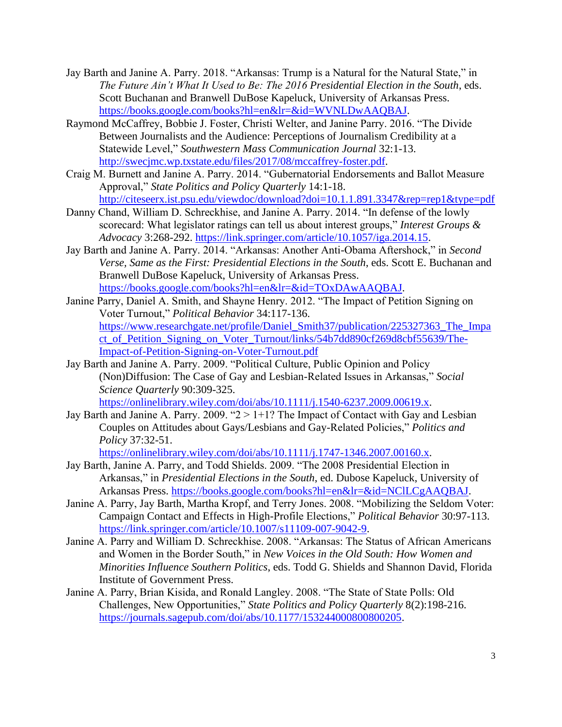- Jay Barth and Janine A. Parry. 2018. "Arkansas: Trump is a Natural for the Natural State," in *The Future Ain't What It Used to Be: The 2016 Presidential Election in the South*, eds. Scott Buchanan and Branwell DuBose Kapeluck, University of Arkansas Press. [https://books.google.com/books?hl=en&lr=&id=WVNLDwAAQBAJ.](https://books.google.com/books?hl=en&lr=&id=WVNLDwAAQBAJ)
- Raymond McCaffrey, Bobbie J. Foster, Christi Welter, and Janine Parry. 2016. "The Divide Between Journalists and the Audience: Perceptions of Journalism Credibility at a Statewide Level," *Southwestern Mass Communication Journal* 32:1-13. [http://swecjmc.wp.txstate.edu/files/2017/08/mccaffrey-foster.pdf.](http://swecjmc.wp.txstate.edu/files/2017/08/mccaffrey-foster.pdf)
- Craig M. Burnett and Janine A. Parry. 2014. "Gubernatorial Endorsements and Ballot Measure Approval," *State Politics and Policy Quarterly* 14:1-18. <http://citeseerx.ist.psu.edu/viewdoc/download?doi=10.1.1.891.3347&rep=rep1&type=pdf>
- Danny Chand, William D. Schreckhise, and Janine A. Parry. 2014. "In defense of the lowly scorecard: What legislator ratings can tell us about interest groups," *Interest Groups & Advocacy* 3:268-292. [https://link.springer.com/article/10.1057/iga.2014.15.](https://link.springer.com/article/10.1057/iga.2014.15)
- Jay Barth and Janine A. Parry. 2014. "Arkansas: Another Anti-Obama Aftershock," in *Second Verse, Same as the First: Presidential Elections in the South*, eds. Scott E. Buchanan and Branwell DuBose Kapeluck, University of Arkansas Press. [https://books.google.com/books?hl=en&lr=&id=TOxDAwAAQBAJ.](https://books.google.com/books?hl=en&lr=&id=TOxDAwAAQBAJ)
- Janine Parry, Daniel A. Smith, and Shayne Henry. 2012. "The Impact of Petition Signing on Voter Turnout," *Political Behavior* 34:117-136. https://www.researchgate.net/profile/Daniel Smith37/publication/225327363 The Impa [ct\\_of\\_Petition\\_Signing\\_on\\_Voter\\_Turnout/links/54b7dd890cf269d8cbf55639/The-](https://www.researchgate.net/profile/Daniel_Smith37/publication/225327363_The_Impact_of_Petition_Signing_on_Voter_Turnout/links/54b7dd890cf269d8cbf55639/The-Impact-of-Petition-Signing-on-Voter-Turnout.pdf)[Impact-of-Petition-Signing-on-Voter-Turnout.pdf](https://www.researchgate.net/profile/Daniel_Smith37/publication/225327363_The_Impact_of_Petition_Signing_on_Voter_Turnout/links/54b7dd890cf269d8cbf55639/The-Impact-of-Petition-Signing-on-Voter-Turnout.pdf)
- Jay Barth and Janine A. Parry. 2009. "Political Culture, Public Opinion and Policy (Non)Diffusion: The Case of Gay and Lesbian-Related Issues in Arkansas," *Social Science Quarterly* 90:309-325. [https://onlinelibrary.wiley.com/doi/abs/10.1111/j.1540-6237.2009.00619.x.](https://onlinelibrary.wiley.com/doi/abs/10.1111/j.1540-6237.2009.00619.x)
- Jay Barth and Janine A. Parry. 2009. " $2 > 1+1$ ? The Impact of Contact with Gay and Lesbian Couples on Attitudes about Gays/Lesbians and Gay-Related Policies," *Politics and Policy* 37:32-51.

[https://onlinelibrary.wiley.com/doi/abs/10.1111/j.1747-1346.2007.00160.x.](https://onlinelibrary.wiley.com/doi/abs/10.1111/j.1747-1346.2007.00160.x)

- Jay Barth, Janine A. Parry, and Todd Shields. 2009. "The 2008 Presidential Election in Arkansas," in *Presidential Elections in the South*, ed. Dubose Kapeluck, University of Arkansas Press. [https://books.google.com/books?hl=en&lr=&id=NClLCgAAQBAJ.](https://books.google.com/books?hl=en&lr=&id=NClLCgAAQBAJ)
- Janine A. Parry, Jay Barth, Martha Kropf, and Terry Jones. 2008. "Mobilizing the Seldom Voter: Campaign Contact and Effects in High-Profile Elections," *Political Behavior* 30:97-113. [https://link.springer.com/article/10.1007/s11109-007-9042-9.](https://link.springer.com/article/10.1007/s11109-007-9042-9)
- Janine A. Parry and William D. Schreckhise. 2008. "Arkansas: The Status of African Americans and Women in the Border South," in *New Voices in the Old South: How Women and Minorities Influence Southern Politics*, eds. Todd G. Shields and Shannon David, Florida Institute of Government Press.
- Janine A. Parry, Brian Kisida, and Ronald Langley. 2008. "The State of State Polls: Old Challenges, New Opportunities," *State Politics and Policy Quarterly* 8(2):198-216. [https://journals.sagepub.com/doi/abs/10.1177/153244000800800205.](https://journals.sagepub.com/doi/abs/10.1177/153244000800800205)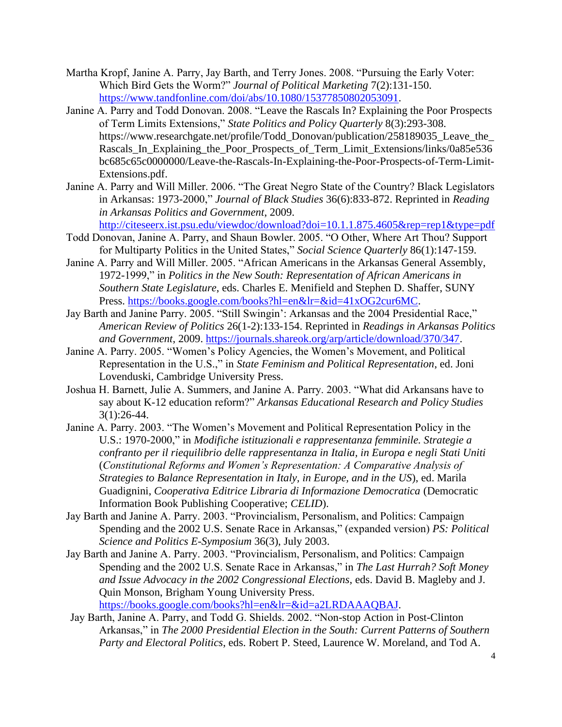- Martha Kropf, Janine A. Parry, Jay Barth, and Terry Jones. 2008. "Pursuing the Early Voter: Which Bird Gets the Worm?" *Journal of Political Marketing* 7(2):131-150. [https://www.tandfonline.com/doi/abs/10.1080/15377850802053091.](https://www.tandfonline.com/doi/abs/10.1080/15377850802053091)
- Janine A. Parry and Todd Donovan. 2008. "Leave the Rascals In? Explaining the Poor Prospects of Term Limits Extensions," *State Politics and Policy Quarterly* 8(3):293-308. https://www.researchgate.net/profile/Todd\_Donovan/publication/258189035\_Leave\_the\_ Rascals\_In\_Explaining\_the\_Poor\_Prospects\_of\_Term\_Limit\_Extensions/links/0a85e536 bc685c65c0000000/Leave-the-Rascals-In-Explaining-the-Poor-Prospects-of-Term-Limit-Extensions.pdf.
- Janine A. Parry and Will Miller. 2006. "The Great Negro State of the Country? Black Legislators in Arkansas: 1973-2000," *Journal of Black Studies* 36(6):833-872. Reprinted in *Reading in Arkansas Politics and Government*, 2009.

<http://citeseerx.ist.psu.edu/viewdoc/download?doi=10.1.1.875.4605&rep=rep1&type=pdf>

- Todd Donovan, Janine A. Parry, and Shaun Bowler. 2005. "O Other, Where Art Thou? Support for Multiparty Politics in the United States," *Social Science Quarterly* 86(1):147-159.
- Janine A. Parry and Will Miller. 2005. "African Americans in the Arkansas General Assembly, 1972-1999," in *Politics in the New South: Representation of African Americans in Southern State Legislature*, eds. Charles E. Menifield and Stephen D. Shaffer, SUNY Press. [https://books.google.com/books?hl=en&lr=&id=41xOG2cur6MC.](https://books.google.com/books?hl=en&lr=&id=41xOG2cur6MC)
- Jay Barth and Janine Parry. 2005. "Still Swingin': Arkansas and the 2004 Presidential Race," *American Review of Politics* 26(1-2):133-154. Reprinted in *Readings in Arkansas Politics and Government*, 2009. [https://journals.shareok.org/arp/article/download/370/347.](https://journals.shareok.org/arp/article/download/370/347)
- Janine A. Parry. 2005. "Women's Policy Agencies, the Women's Movement, and Political Representation in the U.S.," in *State Feminism and Political Representation*, ed. Joni Lovenduski, Cambridge University Press.
- Joshua H. Barnett, Julie A. Summers, and Janine A. Parry. 2003. "What did Arkansans have to say about K-12 education reform?" *Arkansas Educational Research and Policy Studies* 3(1):26-44.
- Janine A. Parry. 2003. "The Women's Movement and Political Representation Policy in the U.S.: 1970-2000," in *Modifiche istituzionali e rappresentanza femminile. Strategie a confranto per il riequilibrio delle rappresentanza in Italia, in Europa e negli Stati Uniti* (*Constitutional Reforms and Women's Representation: A Comparative Analysis of Strategies to Balance Representation in Italy, in Europe, and in the US*), ed. Marila Guadignini, *Cooperativa Editrice Libraria di Informazione Democratica* (Democratic Information Book Publishing Cooperative; *CELID*).
- Jay Barth and Janine A. Parry. 2003. "Provincialism, Personalism, and Politics: Campaign Spending and the 2002 U.S. Senate Race in Arkansas," (expanded version) *PS: Political Science and Politics E-Symposium* 36(3), July 2003.
- Jay Barth and Janine A. Parry. 2003. "Provincialism, Personalism, and Politics: Campaign Spending and the 2002 U.S. Senate Race in Arkansas," in *The Last Hurrah? Soft Money and Issue Advocacy in the 2002 Congressional Elections*, eds. David B. Magleby and J. Quin Monson, Brigham Young University Press. [https://books.google.com/books?hl=en&lr=&id=a2LRDAAAQBAJ.](https://books.google.com/books?hl=en&lr=&id=a2LRDAAAQBAJ)

Jay Barth, Janine A. Parry, and Todd G. Shields. 2002. "Non-stop Action in Post-Clinton Arkansas," in *The 2000 Presidential Election in the South: Current Patterns of Southern Party and Electoral Politics*, eds. Robert P. Steed, Laurence W. Moreland, and Tod A.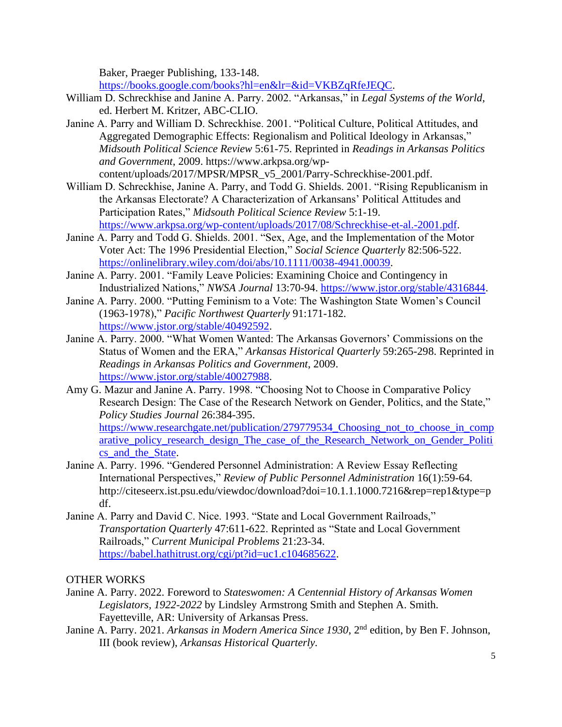Baker, Praeger Publishing, 133-148.

[https://books.google.com/books?hl=en&lr=&id=VKBZqRfeJEQC.](https://books.google.com/books?hl=en&lr=&id=VKBZqRfeJEQC)

- William D. Schreckhise and Janine A. Parry. 2002. "Arkansas," in *Legal Systems of the World*, ed. Herbert M. Kritzer, ABC-CLIO.
- Janine A. Parry and William D. Schreckhise. 2001. "Political Culture, Political Attitudes, and Aggregated Demographic Effects: Regionalism and Political Ideology in Arkansas," *Midsouth Political Science Review* 5:61-75. Reprinted in *Readings in Arkansas Politics and Government*, 2009. https://www.arkpsa.org/wpcontent/uploads/2017/MPSR/MPSR\_v5\_2001/Parry-Schreckhise-2001.pdf.
- William D. Schreckhise, Janine A. Parry, and Todd G. Shields. 2001. "Rising Republicanism in the Arkansas Electorate? A Characterization of Arkansans' Political Attitudes and Participation Rates," *Midsouth Political Science Review* 5:1-19. [https://www.arkpsa.org/wp-content/uploads/2017/08/Schreckhise-et-al.-2001.pdf.](https://www.arkpsa.org/wp-content/uploads/2017/08/Schreckhise-et-al.-2001.pdf)
- Janine A. Parry and Todd G. Shields. 2001. "Sex, Age, and the Implementation of the Motor Voter Act: The 1996 Presidential Election," *Social Science Quarterly* 82:506-522. [https://onlinelibrary.wiley.com/doi/abs/10.1111/0038-4941.00039.](https://onlinelibrary.wiley.com/doi/abs/10.1111/0038-4941.00039)
- Janine A. Parry. 2001. "Family Leave Policies: Examining Choice and Contingency in Industrialized Nations," *NWSA Journal* 13:70-94. [https://www.jstor.org/stable/4316844.](https://www.jstor.org/stable/4316844)
- Janine A. Parry. 2000. "Putting Feminism to a Vote: The Washington State Women's Council (1963-1978)," *Pacific Northwest Quarterly* 91:171-182. [https://www.jstor.org/stable/40492592.](https://www.jstor.org/stable/40492592)
- Janine A. Parry. 2000. "What Women Wanted: The Arkansas Governors' Commissions on the Status of Women and the ERA," *Arkansas Historical Quarterly* 59:265-298. Reprinted in *Readings in Arkansas Politics and Government*, 2009. [https://www.jstor.org/stable/40027988.](https://www.jstor.org/stable/40027988)
- Amy G. Mazur and Janine A. Parry. 1998. "Choosing Not to Choose in Comparative Policy Research Design: The Case of the Research Network on Gender, Politics, and the State," *Policy Studies Journal* 26:384-395. [https://www.researchgate.net/publication/279779534\\_Choosing\\_not\\_to\\_choose\\_in\\_comp](https://www.researchgate.net/publication/279779534_Choosing_not_to_choose_in_comparative_policy_research_design_The_case_of_the_Research_Network_on_Gender_Politics_and_the_State)
- [arative\\_policy\\_research\\_design\\_The\\_case\\_of\\_the\\_Research\\_Network\\_on\\_Gender\\_Politi](https://www.researchgate.net/publication/279779534_Choosing_not_to_choose_in_comparative_policy_research_design_The_case_of_the_Research_Network_on_Gender_Politics_and_the_State) [cs\\_and\\_the\\_State.](https://www.researchgate.net/publication/279779534_Choosing_not_to_choose_in_comparative_policy_research_design_The_case_of_the_Research_Network_on_Gender_Politics_and_the_State) Janine A. Parry. 1996. "Gendered Personnel Administration: A Review Essay Reflecting
- International Perspectives," *Review of Public Personnel Administration* 16(1):59-64. http://citeseerx.ist.psu.edu/viewdoc/download?doi=10.1.1.1000.7216&rep=rep1&type=p df.
- Janine A. Parry and David C. Nice. 1993. "State and Local Government Railroads," *Transportation Quarterly* 47:611-622. Reprinted as "State and Local Government Railroads," *Current Municipal Problems* 21:23-34. [https://babel.hathitrust.org/cgi/pt?id=uc1.c104685622.](https://babel.hathitrust.org/cgi/pt?id=uc1.c104685622)

### OTHER WORKS

- Janine A. Parry. 2022. Foreword to *Stateswomen: A Centennial History of Arkansas Women Legislators, 1922-2022* by Lindsley Armstrong Smith and Stephen A. Smith. Fayetteville, AR: University of Arkansas Press.
- Janine A. Parry. 2021. *Arkansas in Modern America Since 1930*, 2nd edition, by Ben F. Johnson, III (book review), *Arkansas Historical Quarterly.*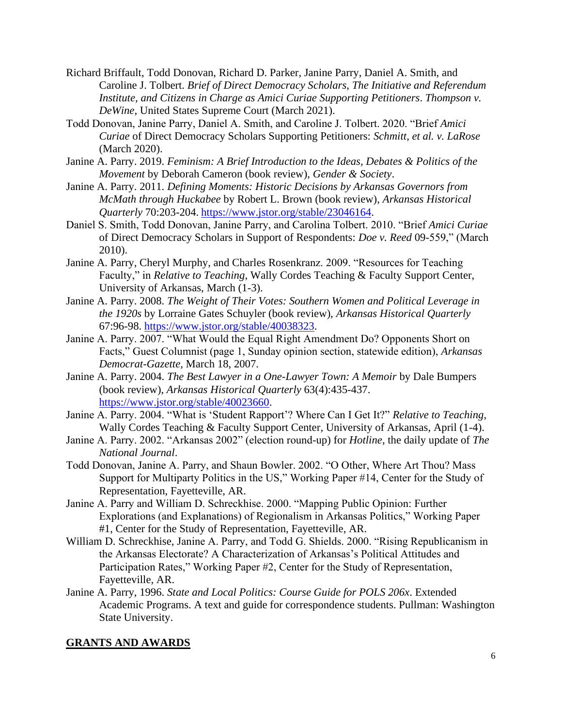- Richard Briffault, Todd Donovan, Richard D. Parker, Janine Parry, Daniel A. Smith, and Caroline J. Tolbert. *Brief of Direct Democracy Scholars, The Initiative and Referendum Institute, and Citizens in Charge as Amici Curiae Supporting Petitioners*. *Thompson v. DeWine*, United States Supreme Court (March 2021).
- Todd Donovan, Janine Parry, Daniel A. Smith, and Caroline J. Tolbert. 2020. "Brief *Amici Curiae* of Direct Democracy Scholars Supporting Petitioners: *Schmitt, et al. v. LaRose* (March 2020).
- Janine A. Parry. 2019. *Feminism: A Brief Introduction to the Ideas, Debates & Politics of the Movement* by Deborah Cameron (book review), *Gender & Society*.
- Janine A. Parry. 2011. *Defining Moments: Historic Decisions by Arkansas Governors from McMath through Huckabee* by Robert L. Brown (book review), *Arkansas Historical Quarterly* 70:203-204. [https://www.jstor.org/stable/23046164.](https://www.jstor.org/stable/23046164)
- Daniel S. Smith, Todd Donovan, Janine Parry, and Carolina Tolbert. 2010. "Brief *Amici Curiae* of Direct Democracy Scholars in Support of Respondents: *Doe v. Reed* 09-559," (March 2010).
- Janine A. Parry, Cheryl Murphy, and Charles Rosenkranz. 2009. "Resources for Teaching Faculty," in *Relative to Teaching*, Wally Cordes Teaching & Faculty Support Center, University of Arkansas, March (1-3).
- Janine A. Parry. 2008. *The Weight of Their Votes: Southern Women and Political Leverage in the 1920s* by Lorraine Gates Schuyler (book review), *Arkansas Historical Quarterly* 67:96-98. [https://www.jstor.org/stable/40038323.](https://www.jstor.org/stable/40038323)
- Janine A. Parry. 2007. "What Would the Equal Right Amendment Do? Opponents Short on Facts," Guest Columnist (page 1, Sunday opinion section, statewide edition), *Arkansas Democrat-Gazette*, March 18, 2007.
- Janine A. Parry. 2004. *The Best Lawyer in a One-Lawyer Town: A Memoir* by Dale Bumpers (book review), *Arkansas Historical Quarterly* 63(4):435-437. [https://www.jstor.org/stable/40023660.](https://www.jstor.org/stable/40023660)
- Janine A. Parry. 2004. "What is 'Student Rapport'? Where Can I Get It?" *Relative to Teaching*, Wally Cordes Teaching & Faculty Support Center, University of Arkansas, April (1-4).
- Janine A. Parry. 2002. "Arkansas 2002" (election round-up) for *Hotline*, the daily update of *The National Journal*.
- Todd Donovan, Janine A. Parry, and Shaun Bowler. 2002. "O Other, Where Art Thou? Mass Support for Multiparty Politics in the US," Working Paper #14, Center for the Study of Representation, Fayetteville, AR.
- Janine A. Parry and William D. Schreckhise. 2000. "Mapping Public Opinion: Further Explorations (and Explanations) of Regionalism in Arkansas Politics," Working Paper #1, Center for the Study of Representation, Fayetteville, AR.
- William D. Schreckhise, Janine A. Parry, and Todd G. Shields. 2000. "Rising Republicanism in the Arkansas Electorate? A Characterization of Arkansas's Political Attitudes and Participation Rates," Working Paper #2, Center for the Study of Representation, Fayetteville, AR.
- Janine A. Parry, 1996. *State and Local Politics: Course Guide for POLS 206x*. Extended Academic Programs. A text and guide for correspondence students. Pullman: Washington State University.

#### **GRANTS AND AWARDS**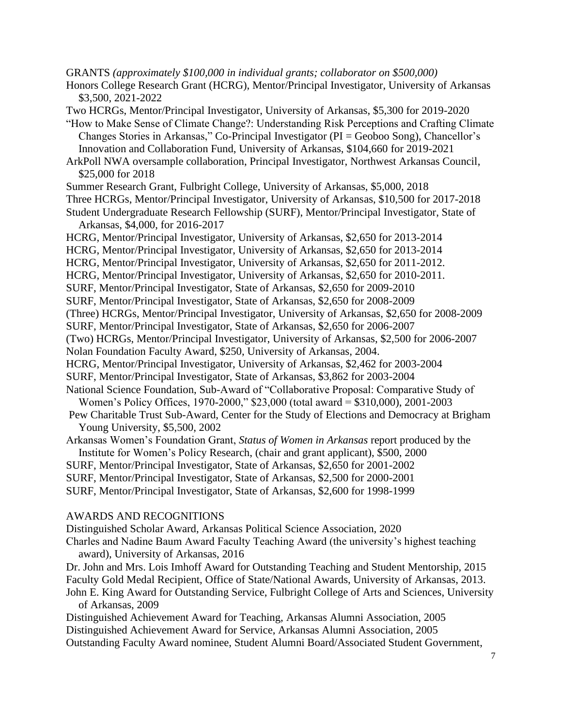GRANTS *(approximately \$100,000 in individual grants; collaborator on \$500,000)*

Honors College Research Grant (HCRG), Mentor/Principal Investigator, University of Arkansas \$3,500, 2021-2022

Two HCRGs, Mentor/Principal Investigator, University of Arkansas, \$5,300 for 2019-2020

"How to Make Sense of Climate Change?: Understanding Risk Perceptions and Crafting Climate Changes Stories in Arkansas," Co-Principal Investigator (PI = Geoboo Song), Chancellor's Innovation and Collaboration Fund, University of Arkansas, \$104,660 for 2019-2021

ArkPoll NWA oversample collaboration, Principal Investigator, Northwest Arkansas Council, \$25,000 for 2018

Summer Research Grant, Fulbright College, University of Arkansas, \$5,000, 2018

Three HCRGs, Mentor/Principal Investigator, University of Arkansas, \$10,500 for 2017-2018

Student Undergraduate Research Fellowship (SURF), Mentor/Principal Investigator, State of Arkansas, \$4,000, for 2016-2017

HCRG, Mentor/Principal Investigator, University of Arkansas, \$2,650 for 2013-2014

HCRG, Mentor/Principal Investigator, University of Arkansas, \$2,650 for 2013-2014

HCRG, Mentor/Principal Investigator, University of Arkansas, \$2,650 for 2011-2012.

HCRG, Mentor/Principal Investigator, University of Arkansas, \$2,650 for 2010-2011.

SURF, Mentor/Principal Investigator, State of Arkansas, \$2,650 for 2009-2010

SURF, Mentor/Principal Investigator, State of Arkansas, \$2,650 for 2008-2009

(Three) HCRGs, Mentor/Principal Investigator, University of Arkansas, \$2,650 for 2008-2009

SURF, Mentor/Principal Investigator, State of Arkansas, \$2,650 for 2006-2007

(Two) HCRGs, Mentor/Principal Investigator, University of Arkansas, \$2,500 for 2006-2007 Nolan Foundation Faculty Award, \$250, University of Arkansas, 2004.

HCRG, Mentor/Principal Investigator, University of Arkansas, \$2,462 for 2003-2004

SURF, Mentor/Principal Investigator, State of Arkansas, \$3,862 for 2003-2004

National Science Foundation, Sub-Award of "Collaborative Proposal: Comparative Study of Women's Policy Offices, 1970-2000," \$23,000 (total award = \$310,000), 2001-2003

Pew Charitable Trust Sub-Award, Center for the Study of Elections and Democracy at Brigham Young University, \$5,500, 2002

Arkansas Women's Foundation Grant, *Status of Women in Arkansas* report produced by the

Institute for Women's Policy Research, (chair and grant applicant), \$500, 2000

SURF, Mentor/Principal Investigator, State of Arkansas, \$2,650 for 2001-2002

SURF, Mentor/Principal Investigator, State of Arkansas, \$2,500 for 2000-2001

SURF, Mentor/Principal Investigator, State of Arkansas, \$2,600 for 1998-1999

#### AWARDS AND RECOGNITIONS

Distinguished Scholar Award, Arkansas Political Science Association, 2020 Charles and Nadine Baum Award Faculty Teaching Award (the university's highest teaching award), University of Arkansas, 2016

Dr. John and Mrs. Lois Imhoff Award for Outstanding Teaching and Student Mentorship, 2015 Faculty Gold Medal Recipient, Office of State/National Awards, University of Arkansas, 2013. John E. King Award for Outstanding Service, Fulbright College of Arts and Sciences, University of Arkansas, 2009

Distinguished Achievement Award for Teaching, Arkansas Alumni Association, 2005 Distinguished Achievement Award for Service, Arkansas Alumni Association, 2005 Outstanding Faculty Award nominee, Student Alumni Board/Associated Student Government,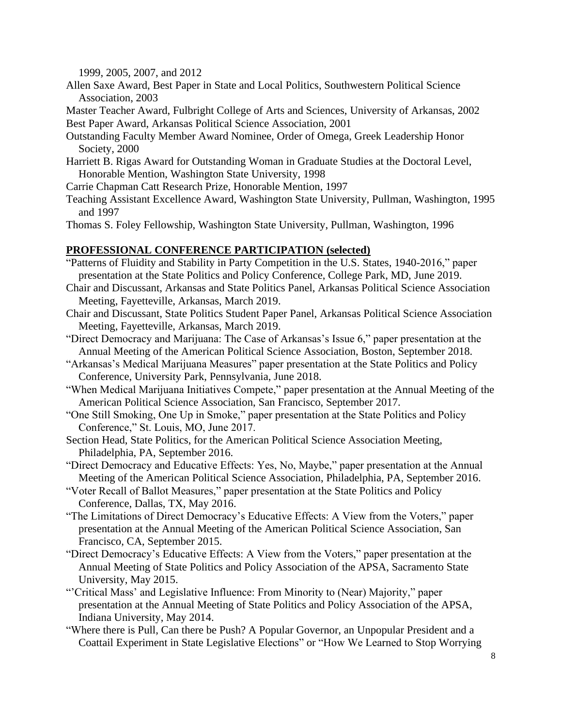1999, 2005, 2007, and 2012

Allen Saxe Award, Best Paper in State and Local Politics, Southwestern Political Science Association, 2003

Master Teacher Award, Fulbright College of Arts and Sciences, University of Arkansas, 2002 Best Paper Award, Arkansas Political Science Association, 2001

- Outstanding Faculty Member Award Nominee, Order of Omega, Greek Leadership Honor Society, 2000
- Harriett B. Rigas Award for Outstanding Woman in Graduate Studies at the Doctoral Level, Honorable Mention, Washington State University, 1998
- Carrie Chapman Catt Research Prize, Honorable Mention, 1997
- Teaching Assistant Excellence Award, Washington State University, Pullman, Washington, 1995 and 1997

Thomas S. Foley Fellowship, Washington State University, Pullman, Washington, 1996

### **PROFESSIONAL CONFERENCE PARTICIPATION (selected)**

- "Patterns of Fluidity and Stability in Party Competition in the U.S. States, 1940-2016," paper presentation at the State Politics and Policy Conference, College Park, MD, June 2019.
- Chair and Discussant, Arkansas and State Politics Panel, Arkansas Political Science Association Meeting, Fayetteville, Arkansas, March 2019.
- Chair and Discussant, State Politics Student Paper Panel, Arkansas Political Science Association Meeting, Fayetteville, Arkansas, March 2019.
- "Direct Democracy and Marijuana: The Case of Arkansas's Issue 6," paper presentation at the Annual Meeting of the American Political Science Association, Boston, September 2018.
- "Arkansas's Medical Marijuana Measures" paper presentation at the State Politics and Policy Conference, University Park, Pennsylvania, June 2018.
- "When Medical Marijuana Initiatives Compete," paper presentation at the Annual Meeting of the American Political Science Association, San Francisco, September 2017.
- "One Still Smoking, One Up in Smoke," paper presentation at the State Politics and Policy Conference," St. Louis, MO, June 2017.
- Section Head, State Politics, for the American Political Science Association Meeting, Philadelphia, PA, September 2016.
- "Direct Democracy and Educative Effects: Yes, No, Maybe," paper presentation at the Annual Meeting of the American Political Science Association, Philadelphia, PA, September 2016.
- "Voter Recall of Ballot Measures," paper presentation at the State Politics and Policy Conference, Dallas, TX, May 2016.
- "The Limitations of Direct Democracy's Educative Effects: A View from the Voters," paper presentation at the Annual Meeting of the American Political Science Association, San Francisco, CA, September 2015.
- "Direct Democracy's Educative Effects: A View from the Voters," paper presentation at the Annual Meeting of State Politics and Policy Association of the APSA, Sacramento State University, May 2015.
- "'Critical Mass' and Legislative Influence: From Minority to (Near) Majority," paper presentation at the Annual Meeting of State Politics and Policy Association of the APSA, Indiana University, May 2014.
- "Where there is Pull, Can there be Push? A Popular Governor, an Unpopular President and a Coattail Experiment in State Legislative Elections" or "How We Learned to Stop Worrying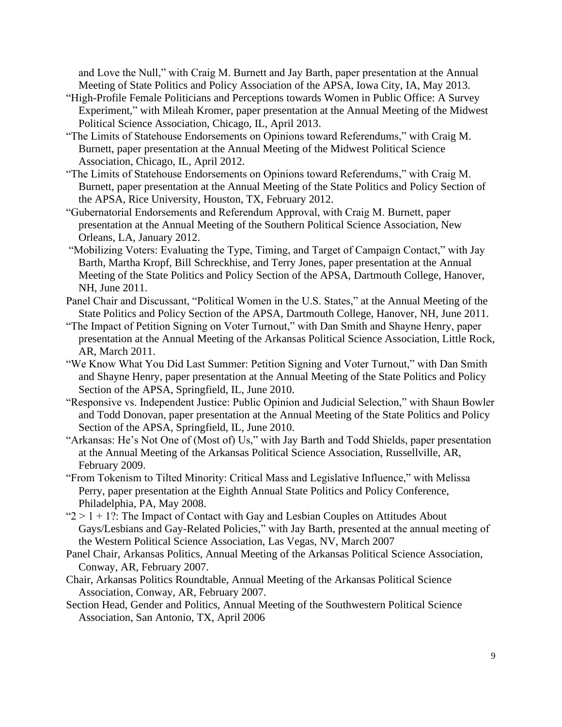and Love the Null," with Craig M. Burnett and Jay Barth, paper presentation at the Annual Meeting of State Politics and Policy Association of the APSA, Iowa City, IA, May 2013.

- "High-Profile Female Politicians and Perceptions towards Women in Public Office: A Survey Experiment," with Mileah Kromer, paper presentation at the Annual Meeting of the Midwest Political Science Association, Chicago, IL, April 2013.
- "The Limits of Statehouse Endorsements on Opinions toward Referendums," with Craig M. Burnett, paper presentation at the Annual Meeting of the Midwest Political Science Association, Chicago, IL, April 2012.
- "The Limits of Statehouse Endorsements on Opinions toward Referendums," with Craig M. Burnett, paper presentation at the Annual Meeting of the State Politics and Policy Section of the APSA, Rice University, Houston, TX, February 2012.
- "Gubernatorial Endorsements and Referendum Approval, with Craig M. Burnett, paper presentation at the Annual Meeting of the Southern Political Science Association, New Orleans, LA, January 2012.
- "Mobilizing Voters: Evaluating the Type, Timing, and Target of Campaign Contact," with Jay Barth, Martha Kropf, Bill Schreckhise, and Terry Jones, paper presentation at the Annual Meeting of the State Politics and Policy Section of the APSA, Dartmouth College, Hanover, NH, June 2011.
- Panel Chair and Discussant, "Political Women in the U.S. States," at the Annual Meeting of the State Politics and Policy Section of the APSA, Dartmouth College, Hanover, NH, June 2011.
- "The Impact of Petition Signing on Voter Turnout," with Dan Smith and Shayne Henry, paper presentation at the Annual Meeting of the Arkansas Political Science Association, Little Rock, AR, March 2011.
- "We Know What You Did Last Summer: Petition Signing and Voter Turnout," with Dan Smith and Shayne Henry, paper presentation at the Annual Meeting of the State Politics and Policy Section of the APSA, Springfield, IL, June 2010.
- "Responsive vs. Independent Justice: Public Opinion and Judicial Selection," with Shaun Bowler and Todd Donovan, paper presentation at the Annual Meeting of the State Politics and Policy Section of the APSA, Springfield, IL, June 2010.
- "Arkansas: He's Not One of (Most of) Us," with Jay Barth and Todd Shields, paper presentation at the Annual Meeting of the Arkansas Political Science Association, Russellville, AR, February 2009.
- "From Tokenism to Tilted Minority: Critical Mass and Legislative Influence," with Melissa Perry, paper presentation at the Eighth Annual State Politics and Policy Conference, Philadelphia, PA, May 2008.
- " $2 > 1 + 1$  ?: The Impact of Contact with Gay and Lesbian Couples on Attitudes About Gays/Lesbians and Gay-Related Policies," with Jay Barth, presented at the annual meeting of the Western Political Science Association, Las Vegas, NV, March 2007
- Panel Chair, Arkansas Politics, Annual Meeting of the Arkansas Political Science Association, Conway, AR, February 2007.
- Chair, Arkansas Politics Roundtable, Annual Meeting of the Arkansas Political Science Association, Conway, AR, February 2007.
- Section Head, Gender and Politics, Annual Meeting of the Southwestern Political Science Association, San Antonio, TX, April 2006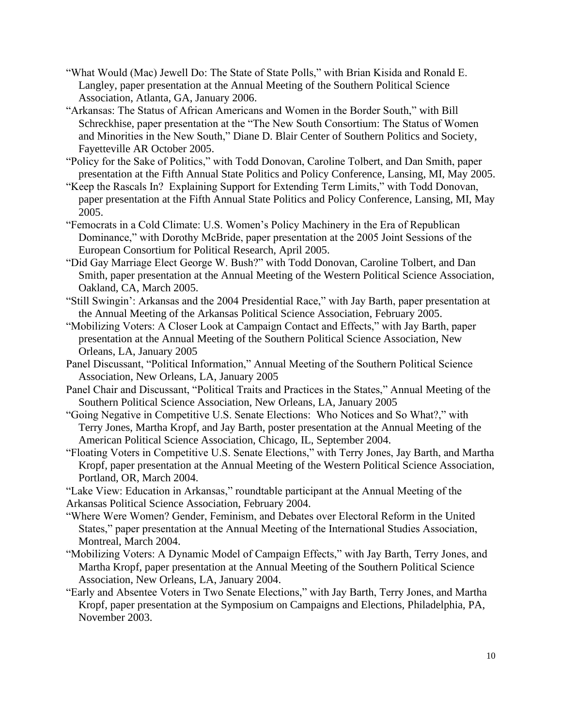- "What Would (Mac) Jewell Do: The State of State Polls," with Brian Kisida and Ronald E. Langley, paper presentation at the Annual Meeting of the Southern Political Science Association, Atlanta, GA, January 2006.
- "Arkansas: The Status of African Americans and Women in the Border South," with Bill Schreckhise, paper presentation at the "The New South Consortium: The Status of Women and Minorities in the New South," Diane D. Blair Center of Southern Politics and Society, Fayetteville AR October 2005.
- "Policy for the Sake of Politics," with Todd Donovan, Caroline Tolbert, and Dan Smith, paper presentation at the Fifth Annual State Politics and Policy Conference, Lansing, MI, May 2005.
- "Keep the Rascals In? Explaining Support for Extending Term Limits," with Todd Donovan, paper presentation at the Fifth Annual State Politics and Policy Conference, Lansing, MI, May 2005.
- "Femocrats in a Cold Climate: U.S. Women's Policy Machinery in the Era of Republican Dominance," with Dorothy McBride, paper presentation at the 2005 Joint Sessions of the European Consortium for Political Research, April 2005.
- "Did Gay Marriage Elect George W. Bush?" with Todd Donovan, Caroline Tolbert, and Dan Smith, paper presentation at the Annual Meeting of the Western Political Science Association, Oakland, CA, March 2005.
- "Still Swingin': Arkansas and the 2004 Presidential Race," with Jay Barth, paper presentation at the Annual Meeting of the Arkansas Political Science Association, February 2005.
- "Mobilizing Voters: A Closer Look at Campaign Contact and Effects," with Jay Barth, paper presentation at the Annual Meeting of the Southern Political Science Association, New Orleans, LA, January 2005
- Panel Discussant, "Political Information," Annual Meeting of the Southern Political Science Association, New Orleans, LA, January 2005
- Panel Chair and Discussant, "Political Traits and Practices in the States," Annual Meeting of the Southern Political Science Association, New Orleans, LA, January 2005
- "Going Negative in Competitive U.S. Senate Elections: Who Notices and So What?," with Terry Jones, Martha Kropf, and Jay Barth, poster presentation at the Annual Meeting of the American Political Science Association, Chicago, IL, September 2004.
- "Floating Voters in Competitive U.S. Senate Elections," with Terry Jones, Jay Barth, and Martha Kropf, paper presentation at the Annual Meeting of the Western Political Science Association, Portland, OR, March 2004.
- "Lake View: Education in Arkansas," roundtable participant at the Annual Meeting of the
- Arkansas Political Science Association, February 2004.
- "Where Were Women? Gender, Feminism, and Debates over Electoral Reform in the United States," paper presentation at the Annual Meeting of the International Studies Association, Montreal, March 2004.
- "Mobilizing Voters: A Dynamic Model of Campaign Effects," with Jay Barth, Terry Jones, and Martha Kropf, paper presentation at the Annual Meeting of the Southern Political Science Association, New Orleans, LA, January 2004.
- "Early and Absentee Voters in Two Senate Elections," with Jay Barth, Terry Jones, and Martha Kropf, paper presentation at the Symposium on Campaigns and Elections, Philadelphia, PA, November 2003.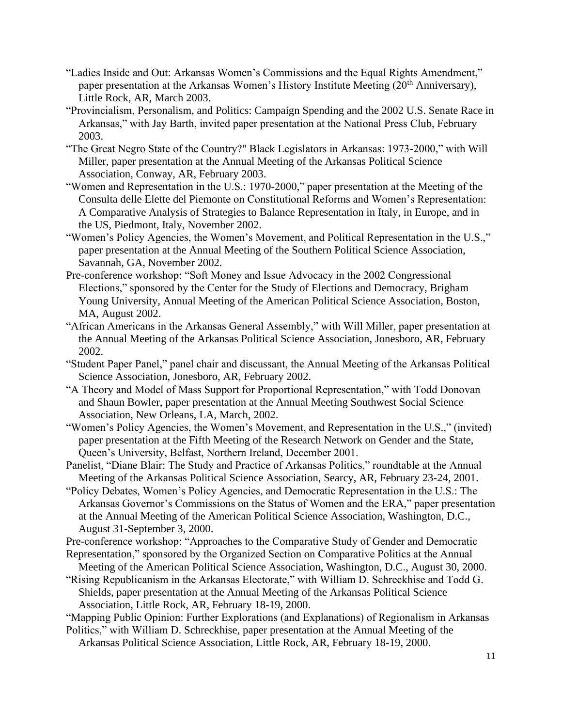- "Ladies Inside and Out: Arkansas Women's Commissions and the Equal Rights Amendment," paper presentation at the Arkansas Women's History Institute Meeting (20<sup>th</sup> Anniversary), Little Rock, AR, March 2003.
- "Provincialism, Personalism, and Politics: Campaign Spending and the 2002 U.S. Senate Race in Arkansas," with Jay Barth, invited paper presentation at the National Press Club, February 2003.
- "The Great Negro State of the Country?" Black Legislators in Arkansas: 1973-2000," with Will Miller, paper presentation at the Annual Meeting of the Arkansas Political Science Association, Conway, AR, February 2003.
- "Women and Representation in the U.S.: 1970-2000," paper presentation at the Meeting of the Consulta delle Elette del Piemonte on Constitutional Reforms and Women's Representation: A Comparative Analysis of Strategies to Balance Representation in Italy, in Europe, and in the US, Piedmont, Italy, November 2002.
- "Women's Policy Agencies, the Women's Movement, and Political Representation in the U.S.," paper presentation at the Annual Meeting of the Southern Political Science Association, Savannah, GA, November 2002.
- Pre-conference workshop: "Soft Money and Issue Advocacy in the 2002 Congressional Elections," sponsored by the Center for the Study of Elections and Democracy, Brigham Young University, Annual Meeting of the American Political Science Association, Boston, MA, August 2002.
- "African Americans in the Arkansas General Assembly," with Will Miller, paper presentation at the Annual Meeting of the Arkansas Political Science Association, Jonesboro, AR, February 2002.
- "Student Paper Panel," panel chair and discussant, the Annual Meeting of the Arkansas Political Science Association, Jonesboro, AR, February 2002.
- "A Theory and Model of Mass Support for Proportional Representation," with Todd Donovan and Shaun Bowler, paper presentation at the Annual Meeting Southwest Social Science Association, New Orleans, LA, March, 2002.
- "Women's Policy Agencies, the Women's Movement, and Representation in the U.S.," (invited) paper presentation at the Fifth Meeting of the Research Network on Gender and the State, Queen's University, Belfast, Northern Ireland, December 2001.
- Panelist, "Diane Blair: The Study and Practice of Arkansas Politics," roundtable at the Annual Meeting of the Arkansas Political Science Association, Searcy, AR, February 23-24, 2001.
- "Policy Debates, Women's Policy Agencies, and Democratic Representation in the U.S.: The Arkansas Governor's Commissions on the Status of Women and the ERA," paper presentation at the Annual Meeting of the American Political Science Association, Washington, D.C., August 31-September 3, 2000.
- Pre-conference workshop: "Approaches to the Comparative Study of Gender and Democratic
- Representation," sponsored by the Organized Section on Comparative Politics at the Annual Meeting of the American Political Science Association, Washington, D.C., August 30, 2000.
- "Rising Republicanism in the Arkansas Electorate," with William D. Schreckhise and Todd G. Shields, paper presentation at the Annual Meeting of the Arkansas Political Science Association, Little Rock, AR, February 18-19, 2000.
- "Mapping Public Opinion: Further Explorations (and Explanations) of Regionalism in Arkansas
- Politics," with William D. Schreckhise, paper presentation at the Annual Meeting of the
	- Arkansas Political Science Association, Little Rock, AR, February 18-19, 2000.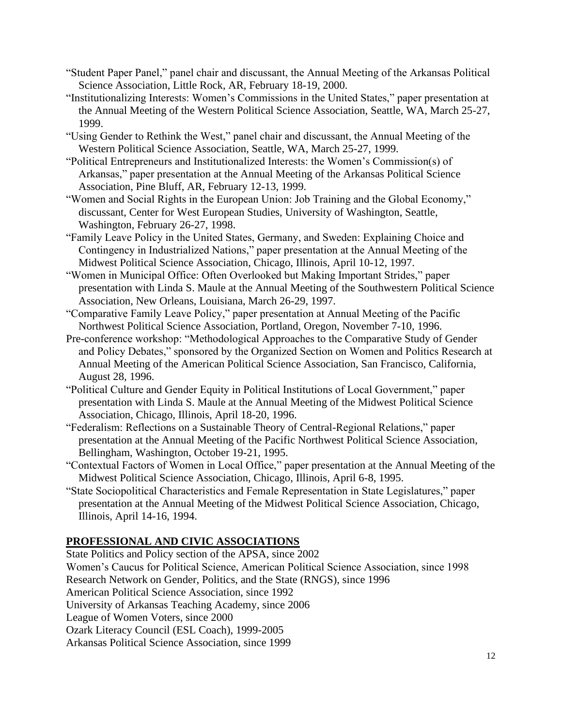- "Student Paper Panel," panel chair and discussant, the Annual Meeting of the Arkansas Political Science Association, Little Rock, AR, February 18-19, 2000.
- "Institutionalizing Interests: Women's Commissions in the United States," paper presentation at the Annual Meeting of the Western Political Science Association, Seattle, WA, March 25-27, 1999.
- "Using Gender to Rethink the West," panel chair and discussant, the Annual Meeting of the Western Political Science Association, Seattle, WA, March 25-27, 1999.
- "Political Entrepreneurs and Institutionalized Interests: the Women's Commission(s) of Arkansas," paper presentation at the Annual Meeting of the Arkansas Political Science Association, Pine Bluff, AR, February 12-13, 1999.
- "Women and Social Rights in the European Union: Job Training and the Global Economy," discussant, Center for West European Studies, University of Washington, Seattle, Washington, February 26-27, 1998.
- "Family Leave Policy in the United States, Germany, and Sweden: Explaining Choice and Contingency in Industrialized Nations," paper presentation at the Annual Meeting of the Midwest Political Science Association, Chicago, Illinois, April 10-12, 1997.
- "Women in Municipal Office: Often Overlooked but Making Important Strides," paper presentation with Linda S. Maule at the Annual Meeting of the Southwestern Political Science Association, New Orleans, Louisiana, March 26-29, 1997.
- "Comparative Family Leave Policy," paper presentation at Annual Meeting of the Pacific Northwest Political Science Association, Portland, Oregon, November 7-10, 1996.
- Pre-conference workshop: "Methodological Approaches to the Comparative Study of Gender and Policy Debates," sponsored by the Organized Section on Women and Politics Research at Annual Meeting of the American Political Science Association, San Francisco, California, August 28, 1996.
- "Political Culture and Gender Equity in Political Institutions of Local Government," paper presentation with Linda S. Maule at the Annual Meeting of the Midwest Political Science Association, Chicago, Illinois, April 18-20, 1996.
- "Federalism: Reflections on a Sustainable Theory of Central-Regional Relations," paper presentation at the Annual Meeting of the Pacific Northwest Political Science Association, Bellingham, Washington, October 19-21, 1995.
- "Contextual Factors of Women in Local Office," paper presentation at the Annual Meeting of the Midwest Political Science Association, Chicago, Illinois, April 6-8, 1995.
- "State Sociopolitical Characteristics and Female Representation in State Legislatures," paper presentation at the Annual Meeting of the Midwest Political Science Association, Chicago, Illinois, April 14-16, 1994.

## **PROFESSIONAL AND CIVIC ASSOCIATIONS**

State Politics and Policy section of the APSA, since 2002

Women's Caucus for Political Science, American Political Science Association, since 1998 Research Network on Gender, Politics, and the State (RNGS), since 1996

American Political Science Association, since 1992

University of Arkansas Teaching Academy, since 2006

League of Women Voters, since 2000

Ozark Literacy Council (ESL Coach), 1999-2005

Arkansas Political Science Association, since 1999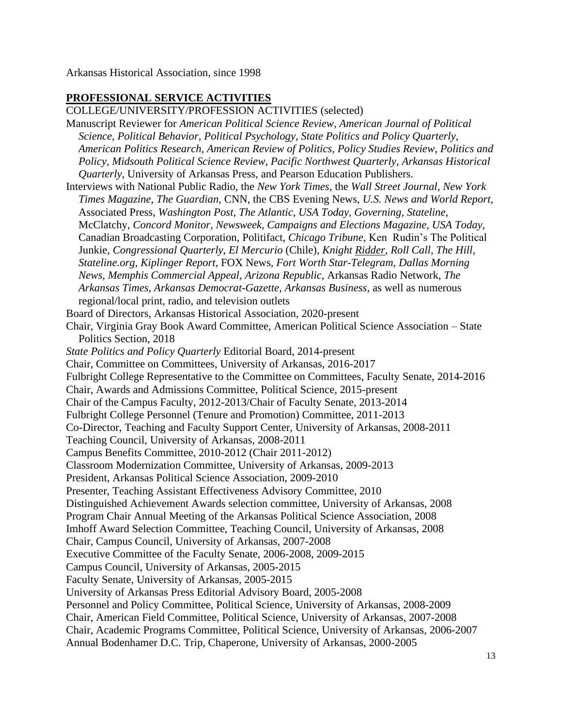Arkansas Historical Association, since 1998

### **PROFESSIONAL SERVICE ACTIVITIES**

COLLEGE/UNIVERSITY/PROFESSION ACTIVITIES (selected) Manuscript Reviewer for *American Political Science Review, American Journal of Political Science, Political Behavior, Political Psychology, State Politics and Policy Quarterly, American Politics Research, American Review of Politics, Policy Studies Review*, *Politics and Policy, Midsouth Political Science Review*, *Pacific Northwest Quarterly*, *Arkansas Historical Quarterly*, University of Arkansas Press, and Pearson Education Publishers. Interviews with National Public Radio, the *New York Times,* the *Wall Street Journal, New York Times Magazine, The Guardian,* CNN, the CBS Evening News, *U.S. News and World Report,*  Associated Press, *Washington Post, The Atlantic, USA Today, Governing, Stateline,*  McClatchy, *Concord Monitor, Newsweek, Campaigns and Elections Magazine, USA Today,* Canadian Broadcasting Corporation, Politifact, *Chicago Tribune,* Ken Rudin's The Political Junkie*, Congressional Quarterly, El Mercurio* (Chile), *Knight Ridder, Roll Call*, *The Hill, Stateline.org, Kiplinger Report,* FOX News, *Fort Worth Star-Telegram, Dallas Morning News*, *Memphis Commercial Appeal*, *Arizona Republic,* Arkansas Radio Network, *The Arkansas Times*, *Arkansas Democrat-Gazette, Arkansas Business,* as well as numerous regional/local print, radio, and television outlets Board of Directors, Arkansas Historical Association, 2020-present Chair, Virginia Gray Book Award Committee, American Political Science Association – State Politics Section, 2018 *State Politics and Policy Quarterly* Editorial Board, 2014-present Chair, Committee on Committees, University of Arkansas, 2016-2017 Fulbright College Representative to the Committee on Committees, Faculty Senate, 2014-2016 Chair, Awards and Admissions Committee, Political Science, 2015-present Chair of the Campus Faculty, 2012-2013/Chair of Faculty Senate, 2013-2014 Fulbright College Personnel (Tenure and Promotion) Committee, 2011-2013 Co-Director, Teaching and Faculty Support Center, University of Arkansas, 2008-2011 Teaching Council, University of Arkansas, 2008-2011 Campus Benefits Committee, 2010-2012 (Chair 2011-2012) Classroom Modernization Committee, University of Arkansas, 2009-2013 President, Arkansas Political Science Association, 2009-2010 Presenter, Teaching Assistant Effectiveness Advisory Committee, 2010 Distinguished Achievement Awards selection committee, University of Arkansas, 2008 Program Chair Annual Meeting of the Arkansas Political Science Association, 2008 Imhoff Award Selection Committee, Teaching Council, University of Arkansas, 2008 Chair, Campus Council, University of Arkansas, 2007-2008 Executive Committee of the Faculty Senate, 2006-2008, 2009-2015 Campus Council, University of Arkansas, 2005-2015 Faculty Senate, University of Arkansas, 2005-2015 University of Arkansas Press Editorial Advisory Board, 2005-2008 Personnel and Policy Committee, Political Science, University of Arkansas, 2008-2009 Chair, American Field Committee, Political Science, University of Arkansas, 2007-2008 Chair, Academic Programs Committee, Political Science, University of Arkansas, 2006-2007 Annual Bodenhamer D.C. Trip, Chaperone, University of Arkansas, 2000-2005